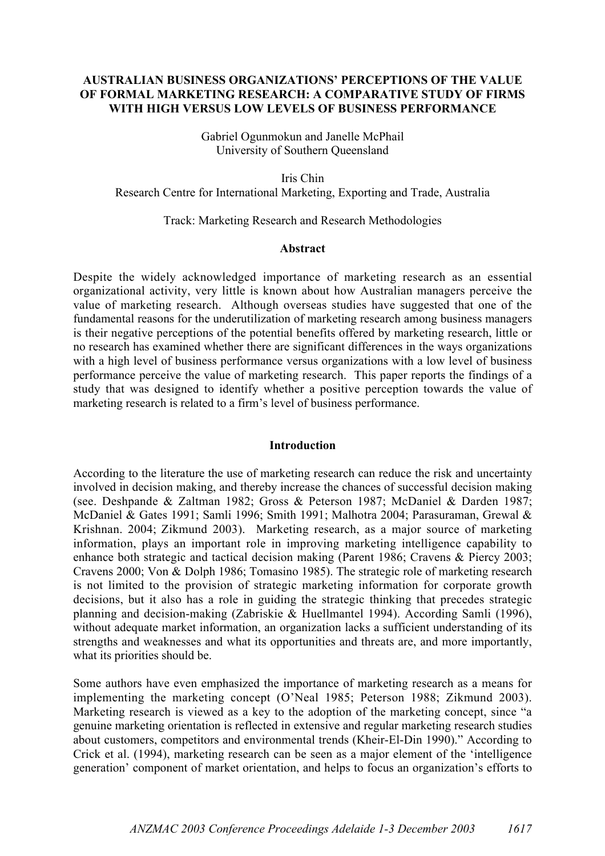# AUSTRALIAN BUSINESS ORGANIZATIONS' PERCEPTIONS OF THE VALUE OF FORMAL MARKETING RESEARCH: A COMPARATIVE STUDY OF FIRMS WITH HIGH VERSUS LOW LEVELS OF BUSINESS PERFORMANCE

Gabriel Ogunmokun and Janelle McPhail University of Southern Queensland

Iris Chin Research Centre for International Marketing, Exporting and Trade, Australia

## Track: Marketing Research and Research Methodologies

### Abstract

Despite the widely acknowledged importance of marketing research as an essential organizational activity, very little is known about how Australian managers perceive the value of marketing research. Although overseas studies have suggested that one of the fundamental reasons for the underutilization of marketing research among business managers is their negative perceptions of the potential benefits offered by marketing research, little or no research has examined whether there are significant differences in the ways organizations with a high level of business performance versus organizations with a low level of business performance perceive the value of marketing research. This paper reports the findings of a study that was designed to identify whether a positive perception towards the value of marketing research is related to a firm's level of business performance.

#### **Introduction**

According to the literature the use of marketing research can reduce the risk and uncertainty involved in decision making, and thereby increase the chances of successful decision making (see. Deshpande & Zaltman 1982; Gross & Peterson 1987; McDaniel & Darden 1987; McDaniel & Gates 1991; Samli 1996; Smith 1991; Malhotra 2004; Parasuraman, Grewal & Krishnan. 2004; Zikmund 2003). Marketing research, as a major source of marketing information, plays an important role in improving marketing intelligence capability to enhance both strategic and tactical decision making (Parent 1986; Cravens & Piercy 2003; Cravens 2000; Von & Dolph 1986; Tomasino 1985). The strategic role of marketing research is not limited to the provision of strategic marketing information for corporate growth decisions, but it also has a role in guiding the strategic thinking that precedes strategic planning and decision-making (Zabriskie & Huellmantel 1994). According Samli (1996), without adequate market information, an organization lacks a sufficient understanding of its strengths and weaknesses and what its opportunities and threats are, and more importantly, what its priorities should be.

Some authors have even emphasized the importance of marketing research as a means for implementing the marketing concept (O'Neal 1985; Peterson 1988; Zikmund 2003). Marketing research is viewed as a key to the adoption of the marketing concept, since "a genuine marketing orientation is reflected in extensive and regular marketing research studies about customers, competitors and environmental trends (Kheir-El-Din 1990)." According to Crick et al. (1994), marketing research can be seen as a major element of the 'intelligence generation' component of market orientation, and helps to focus an organization's efforts to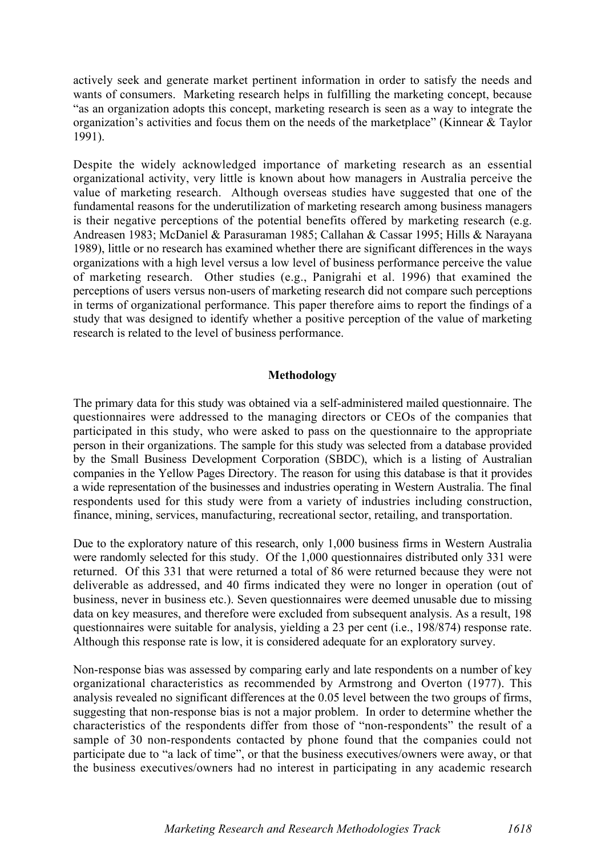actively seek and generate market pertinent information in order to satisfy the needs and wants of consumers. Marketing research helps in fulfilling the marketing concept, because "as an organization adopts this concept, marketing research is seen as a way to integrate the organization's activities and focus them on the needs of the marketplace" (Kinnear & Taylor 1991).

Despite the widely acknowledged importance of marketing research as an essential organizational activity, very little is known about how managers in Australia perceive the value of marketing research. Although overseas studies have suggested that one of the fundamental reasons for the underutilization of marketing research among business managers is their negative perceptions of the potential benefits offered by marketing research (e.g. Andreasen 1983; McDaniel & Parasuraman 1985; Callahan & Cassar 1995; Hills & Narayana 1989), little or no research has examined whether there are significant differences in the ways organizations with a high level versus a low level of business performance perceive the value of marketing research. Other studies (e.g., Panigrahi et al. 1996) that examined the perceptions of users versus non-users of marketing research did not compare such perceptions in terms of organizational performance. This paper therefore aims to report the findings of a study that was designed to identify whether a positive perception of the value of marketing research is related to the level of business performance.

# Methodology

The primary data for this study was obtained via a self-administered mailed questionnaire. The questionnaires were addressed to the managing directors or CEOs of the companies that participated in this study, who were asked to pass on the questionnaire to the appropriate person in their organizations. The sample for this study was selected from a database provided by the Small Business Development Corporation (SBDC), which is a listing of Australian companies in the Yellow Pages Directory. The reason for using this database is that it provides a wide representation of the businesses and industries operating in Western Australia. The final respondents used for this study were from a variety of industries including construction, finance, mining, services, manufacturing, recreational sector, retailing, and transportation.

Due to the exploratory nature of this research, only 1,000 business firms in Western Australia were randomly selected for this study. Of the 1,000 questionnaires distributed only 331 were returned. Of this 331 that were returned a total of 86 were returned because they were not deliverable as addressed, and 40 firms indicated they were no longer in operation (out of business, never in business etc.). Seven questionnaires were deemed unusable due to missing data on key measures, and therefore were excluded from subsequent analysis. As a result, 198 questionnaires were suitable for analysis, yielding a 23 per cent (i.e., 198/874) response rate. Although this response rate is low, it is considered adequate for an exploratory survey.

Non-response bias was assessed by comparing early and late respondents on a number of key organizational characteristics as recommended by Armstrong and Overton (1977). This analysis revealed no significant differences at the 0.05 level between the two groups of firms, suggesting that non-response bias is not a major problem. In order to determine whether the characteristics of the respondents differ from those of "non-respondents" the result of a sample of 30 non-respondents contacted by phone found that the companies could not participate due to "a lack of time", or that the business executives/owners were away, or that the business executives/owners had no interest in participating in any academic research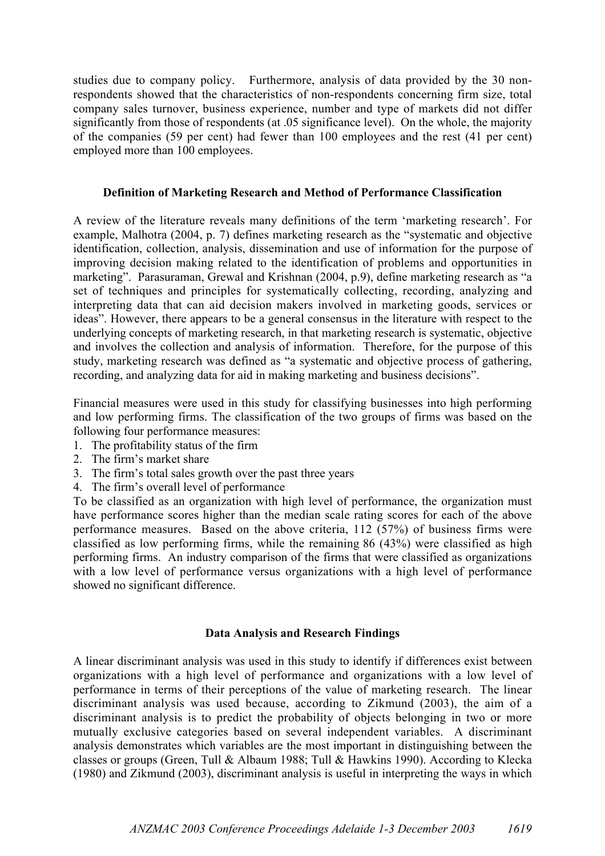studies due to company policy. Furthermore, analysis of data provided by the 30 nonrespondents showed that the characteristics of non-respondents concerning firm size, total company sales turnover, business experience, number and type of markets did not differ significantly from those of respondents (at .05 significance level). On the whole, the majority of the companies (59 per cent) had fewer than 100 employees and the rest (41 per cent) employed more than 100 employees.

# Definition of Marketing Research and Method of Performance Classification

A review of the literature reveals many definitions of the term 'marketing research'. For example, Malhotra (2004, p. 7) defines marketing research as the "systematic and objective identification, collection, analysis, dissemination and use of information for the purpose of improving decision making related to the identification of problems and opportunities in marketing". Parasuraman, Grewal and Krishnan (2004, p.9), define marketing research as "a set of techniques and principles for systematically collecting, recording, analyzing and interpreting data that can aid decision makers involved in marketing goods, services or ideas". However, there appears to be a general consensus in the literature with respect to the underlying concepts of marketing research, in that marketing research is systematic, objective and involves the collection and analysis of information. Therefore, for the purpose of this study, marketing research was defined as "a systematic and objective process of gathering, recording, and analyzing data for aid in making marketing and business decisions".

Financial measures were used in this study for classifying businesses into high performing and low performing firms. The classification of the two groups of firms was based on the following four performance measures:

- 1. The profitability status of the firm
- 2. The firm's market share
- 3. The firm's total sales growth over the past three years
- 4. The firm's overall level of performance

To be classified as an organization with high level of performance, the organization must have performance scores higher than the median scale rating scores for each of the above performance measures. Based on the above criteria, 112 (57%) of business firms were classified as low performing firms, while the remaining 86 (43%) were classified as high performing firms. An industry comparison of the firms that were classified as organizations with a low level of performance versus organizations with a high level of performance showed no significant difference.

# Data Analysis and Research Findings

A linear discriminant analysis was used in this study to identify if differences exist between organizations with a high level of performance and organizations with a low level of performance in terms of their perceptions of the value of marketing research. The linear discriminant analysis was used because, according to Zikmund (2003), the aim of a discriminant analysis is to predict the probability of objects belonging in two or more mutually exclusive categories based on several independent variables. A discriminant analysis demonstrates which variables are the most important in distinguishing between the classes or groups (Green, Tull & Albaum 1988; Tull & Hawkins 1990). According to Klecka (1980) and Zikmund (2003), discriminant analysis is useful in interpreting the ways in which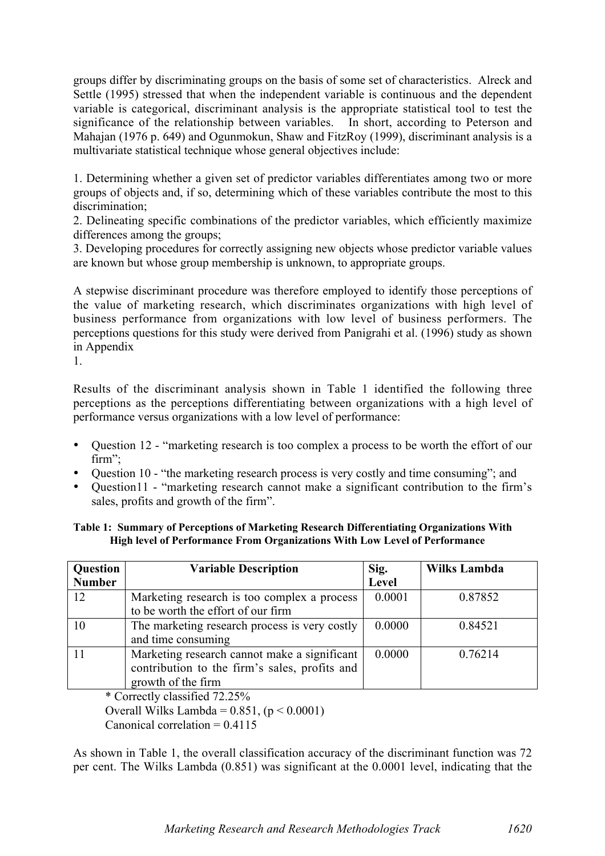groups differ by discriminating groups on the basis of some set of characteristics. Alreck and Settle (1995) stressed that when the independent variable is continuous and the dependent variable is categorical, discriminant analysis is the appropriate statistical tool to test the significance of the relationship between variables. In short, according to Peterson and Mahajan (1976 p. 649) and Ogunmokun, Shaw and FitzRoy (1999), discriminant analysis is a multivariate statistical technique whose general objectives include:

1. Determining whether a given set of predictor variables differentiates among two or more groups of objects and, if so, determining which of these variables contribute the most to this discrimination<sup>.</sup>

2. Delineating specific combinations of the predictor variables, which efficiently maximize differences among the groups;

3. Developing procedures for correctly assigning new objects whose predictor variable values are known but whose group membership is unknown, to appropriate groups.

A stepwise discriminant procedure was therefore employed to identify those perceptions of the value of marketing research, which discriminates organizations with high level of business performance from organizations with low level of business performers. The perceptions questions for this study were derived from Panigrahi et al. (1996) study as shown in Appendix

1.

Results of the discriminant analysis shown in Table 1 identified the following three perceptions as the perceptions differentiating between organizations with a high level of performance versus organizations with a low level of performance:

- Ouestion 12 "marketing research is too complex a process to be worth the effort of our firm":
- Ouestion 10 "the marketing research process is very costly and time consuming"; and
- Ouestion11 "marketing research cannot make a significant contribution to the firm's sales, profits and growth of the firm".

## Table 1: Summary of Perceptions of Marketing Research Differentiating Organizations With High level of Performance From Organizations With Low Level of Performance

| Question      | <b>Variable Description</b>                   | Sig.   | <b>Wilks Lambda</b> |
|---------------|-----------------------------------------------|--------|---------------------|
| <b>Number</b> |                                               | Level  |                     |
| 12            | Marketing research is too complex a process   | 0.0001 | 0.87852             |
|               | to be worth the effort of our firm            |        |                     |
| 10            | The marketing research process is very costly | 0.0000 | 0.84521             |
|               | and time consuming                            |        |                     |
|               | Marketing research cannot make a significant  | 0.0000 | 0.76214             |
|               | contribution to the firm's sales, profits and |        |                     |
|               | growth of the firm                            |        |                     |

\* Correctly classified 72.25%

Overall Wilks Lambda =  $0.851$ , ( $p < 0.0001$ )

Canonical correlation  $= 0.4115$ 

As shown in Table 1, the overall classification accuracy of the discriminant function was 72 per cent. The Wilks Lambda (0.851) was significant at the 0.0001 level, indicating that the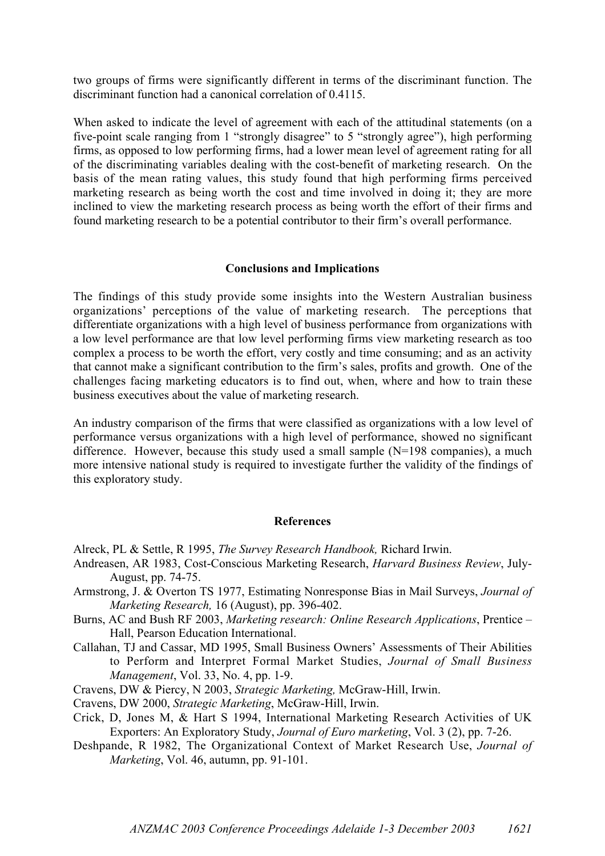two groups of firms were significantly different in terms of the discriminant function. The discriminant function had a canonical correlation of 0.4115.

When asked to indicate the level of agreement with each of the attitudinal statements (on a five-point scale ranging from 1 "strongly disagree" to 5 "strongly agree"), high performing firms, as opposed to low performing firms, had a lower mean level of agreement rating for all of the discriminating variables dealing with the cost-benefit of marketing research. On the basis of the mean rating values, this study found that high performing firms perceived marketing research as being worth the cost and time involved in doing it; they are more inclined to view the marketing research process as being worth the effort of their firms and found marketing research to be a potential contributor to their firm's overall performance.

# Conclusions and Implications

The findings of this study provide some insights into the Western Australian business organizations' perceptions of the value of marketing research. The perceptions that differentiate organizations with a high level of business performance from organizations with a low level performance are that low level performing firms view marketing research as too complex a process to be worth the effort, very costly and time consuming; and as an activity that cannot make a significant contribution to the firm's sales, profits and growth. One of the challenges facing marketing educators is to find out, when, where and how to train these business executives about the value of marketing research.

An industry comparison of the firms that were classified as organizations with a low level of performance versus organizations with a high level of performance, showed no significant difference. However, because this study used a small sample (N=198 companies), a much more intensive national study is required to investigate further the validity of the findings of this exploratory study.

## References

- Alreck, PL & Settle, R 1995, *The Survey Research Handbook,* Richard Irwin.
- Andreasen, AR 1983, Cost-Conscious Marketing Research, *Harvard Business Review*, July-August, pp. 74-75.
- Armstrong, J. & Overton TS 1977, Estimating Nonresponse Bias in Mail Surveys, *Journal of Marketing Research,* 16 (August), pp. 396-402.
- Burns, AC and Bush RF 2003, *Marketing research: Online Research Applications*, Prentice Hall, Pearson Education International.
- Callahan, TJ and Cassar, MD 1995, Small Business Owners' Assessments of Their Abilities to Perform and Interpret Formal Market Studies, *Journal of Small Business Management*, Vol. 33, No. 4, pp. 1-9.
- Cravens, DW & Piercy, N 2003, *Strategic Marketing,* McGraw-Hill, Irwin.
- Cravens, DW 2000, *Strategic Marketing*, McGraw-Hill, Irwin.
- Crick, D, Jones M, & Hart S 1994, International Marketing Research Activities of UK Exporters: An Exploratory Study, *Journal of Euro marketing*, Vol. 3 (2), pp. 7-26.
- Deshpande, R 1982, The Organizational Context of Market Research Use, *Journal of Marketing*, Vol. 46, autumn, pp. 91-101.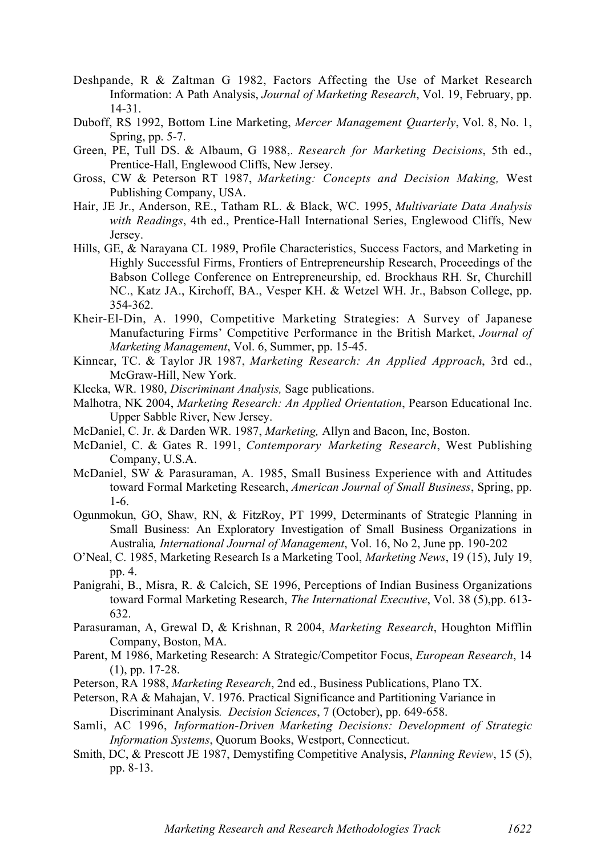- Deshpande, R & Zaltman G 1982, Factors Affecting the Use of Market Research Information: A Path Analysis, *Journal of Marketing Research*, Vol. 19, February, pp. 14-31.
- Duboff, RS 1992, Bottom Line Marketing, *Mercer Management Quarterly*, Vol. 8, No. 1, Spring, pp. 5-7.
- Green, PE, Tull DS. & Albaum, G 1988,. *Research for Marketing Decisions*, 5th ed., Prentice-Hall, Englewood Cliffs, New Jersey.
- Gross, CW & Peterson RT 1987, *Marketing: Concepts and Decision Making,* West Publishing Company, USA.
- Hair, JE Jr., Anderson, RE., Tatham RL. & Black, WC. 1995, *Multivariate Data Analysis with Readings*, 4th ed., Prentice-Hall International Series, Englewood Cliffs, New Jersey.
- Hills, GE, & Narayana CL 1989, Profile Characteristics, Success Factors, and Marketing in Highly Successful Firms, Frontiers of Entrepreneurship Research, Proceedings of the Babson College Conference on Entrepreneurship, ed. Brockhaus RH. Sr, Churchill NC., Katz JA., Kirchoff, BA., Vesper KH. & Wetzel WH. Jr., Babson College, pp. 354-362.
- Kheir-El-Din, A. 1990, Competitive Marketing Strategies: A Survey of Japanese Manufacturing Firms' Competitive Performance in the British Market, *Journal of Marketing Management*, Vol. 6, Summer, pp. 15-45.
- Kinnear, TC. & Taylor JR 1987, *Marketing Research: An Applied Approach*, 3rd ed., McGraw-Hill, New York.
- Klecka, WR. 1980, *Discriminant Analysis,* Sage publications.
- Malhotra, NK 2004, *Marketing Research: An Applied Orientation*, Pearson Educational Inc. Upper Sabble River, New Jersey.
- McDaniel, C. Jr. & Darden WR. 1987, *Marketing,* Allyn and Bacon, Inc, Boston.
- McDaniel, C. & Gates R. 1991, *Contemporary Marketing Research*, West Publishing Company, U.S.A.
- McDaniel, SW & Parasuraman, A. 1985, Small Business Experience with and Attitudes toward Formal Marketing Research, *American Journal of Small Business*, Spring, pp. 1-6.
- Ogunmokun, GO, Shaw, RN, & FitzRoy, PT 1999, Determinants of Strategic Planning in Small Business: An Exploratory Investigation of Small Business Organizations in Australia*, International Journal of Management*, Vol. 16, No 2, June pp. 190-202
- O'Neal, C. 1985, Marketing Research Is a Marketing Tool, *Marketing News*, 19 (15), July 19, pp. 4.
- Panigrahi, B., Misra, R. & Calcich, SE 1996, Perceptions of Indian Business Organizations toward Formal Marketing Research, *The International Executive*, Vol. 38 (5),pp. 613- 632.
- Parasuraman, A, Grewal D, & Krishnan, R 2004, *Marketing Research*, Houghton Mifflin Company, Boston, MA.
- Parent, M 1986, Marketing Research: A Strategic/Competitor Focus, *European Research*, 14 (1), pp. 17-28.
- Peterson, RA 1988, *Marketing Research*, 2nd ed., Business Publications, Plano TX.
- Peterson, RA & Mahajan, V. 1976. Practical Significance and Partitioning Variance in Discriminant Analysis*. Decision Sciences*, 7 (October), pp. 649-658.
- Samli, AC 1996, *Information-Driven Marketing Decisions: Development of Strategic Information Systems*, Quorum Books, Westport, Connecticut.
- Smith, DC, & Prescott JE 1987, Demystifing Competitive Analysis, *Planning Review*, 15 (5), pp. 8-13.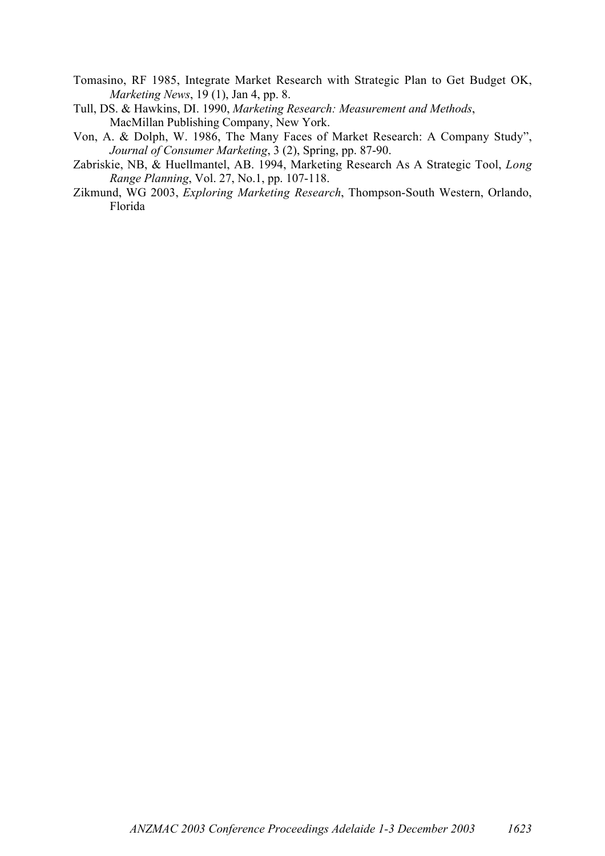- Tomasino, RF 1985, Integrate Market Research with Strategic Plan to Get Budget OK, *Marketing News*, 19 (1), Jan 4, pp. 8.
- Tull, DS. & Hawkins, DI. 1990, *Marketing Research: Measurement and Methods*, MacMillan Publishing Company, New York.
- Von, A. & Dolph, W. 1986, The Many Faces of Market Research: A Company Study", *Journal of Consumer Marketing*, 3 (2), Spring, pp. 87-90.
- Zabriskie, NB, & Huellmantel, AB. 1994, Marketing Research As A Strategic Tool, *Long Range Planning*, Vol. 27, No.1, pp. 107-118.
- Zikmund, WG 2003, *Exploring Marketing Research*, Thompson-South Western, Orlando, Florida